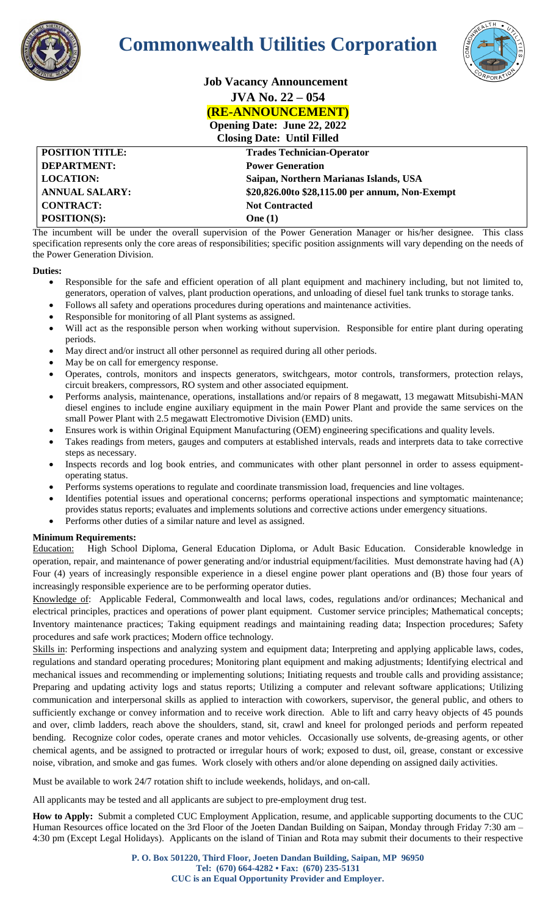

## **Commonwealth Utilities Corporation**



| <b>COMPANY</b>         | <b>Job Vacancy Announcement</b>                                                                          |
|------------------------|----------------------------------------------------------------------------------------------------------|
|                        | $JVA$ No. $22 - 054$                                                                                     |
|                        | <b>(RE-ANNOUNCEMENT)</b>                                                                                 |
|                        | <b>Opening Date: June 22, 2022</b>                                                                       |
|                        | <b>Closing Date: Until Filled</b>                                                                        |
| <b>POSITION TITLE:</b> | <b>Trades Technician-Operator</b>                                                                        |
| <b>DEPARTMENT:</b>     | <b>Power Generation</b>                                                                                  |
| <b>LOCATION:</b>       | Saipan, Northern Marianas Islands, USA                                                                   |
| <b>ANNUAL SALARY:</b>  | \$20,826.00to \$28,115.00 per annum, Non-Exempt                                                          |
| <b>CONTRACT:</b>       | <b>Not Contracted</b>                                                                                    |
| <b>POSITION(S):</b>    | One $(1)$                                                                                                |
|                        | The incumbent will be under the overall supervision of the Power Generation Manager or his/her designee. |

The incumbent will be under the overall supervision of the Power Generation Manager or his/her designee. This class specification represents only the core areas of responsibilities; specific position assignments will vary depending on the needs of the Power Generation Division.

## **Duties:**

- Responsible for the safe and efficient operation of all plant equipment and machinery including, but not limited to, generators, operation of valves, plant production operations, and unloading of diesel fuel tank trunks to storage tanks.
- Follows all safety and operations procedures during operations and maintenance activities.
- Responsible for monitoring of all Plant systems as assigned.
- Will act as the responsible person when working without supervision. Responsible for entire plant during operating periods.
- May direct and/or instruct all other personnel as required during all other periods.
- May be on call for emergency response.
- Operates, controls, monitors and inspects generators, switchgears, motor controls, transformers, protection relays, circuit breakers, compressors, RO system and other associated equipment.
- Performs analysis, maintenance, operations, installations and/or repairs of 8 megawatt, 13 megawatt Mitsubishi-MAN diesel engines to include engine auxiliary equipment in the main Power Plant and provide the same services on the small Power Plant with 2.5 megawatt Electromotive Division (EMD) units.
- Ensures work is within Original Equipment Manufacturing (OEM) engineering specifications and quality levels.
- Takes readings from meters, gauges and computers at established intervals, reads and interprets data to take corrective steps as necessary.
- Inspects records and log book entries, and communicates with other plant personnel in order to assess equipmentoperating status.
- Performs systems operations to regulate and coordinate transmission load, frequencies and line voltages.
- Identifies potential issues and operational concerns; performs operational inspections and symptomatic maintenance; provides status reports; evaluates and implements solutions and corrective actions under emergency situations.
- Performs other duties of a similar nature and level as assigned.

## **Minimum Requirements:**

Education:High School Diploma, General Education Diploma, or Adult Basic Education. Considerable knowledge in operation, repair, and maintenance of power generating and/or industrial equipment/facilities. Must demonstrate having had (A) Four (4) years of increasingly responsible experience in a diesel engine power plant operations and (B) those four years of increasingly responsible experience are to be performing operator duties.

Knowledge of: Applicable Federal, Commonwealth and local laws, codes, regulations and/or ordinances; Mechanical and electrical principles, practices and operations of power plant equipment. Customer service principles; Mathematical concepts; Inventory maintenance practices; Taking equipment readings and maintaining reading data; Inspection procedures; Safety procedures and safe work practices; Modern office technology.

Skills in: Performing inspections and analyzing system and equipment data; Interpreting and applying applicable laws, codes, regulations and standard operating procedures; Monitoring plant equipment and making adjustments; Identifying electrical and mechanical issues and recommending or implementing solutions; Initiating requests and trouble calls and providing assistance; Preparing and updating activity logs and status reports; Utilizing a computer and relevant software applications; Utilizing communication and interpersonal skills as applied to interaction with coworkers, supervisor, the general public, and others to sufficiently exchange or convey information and to receive work direction. Able to lift and carry heavy objects of 45 pounds and over, climb ladders, reach above the shoulders, stand, sit, crawl and kneel for prolonged periods and perform repeated bending. Recognize color codes, operate cranes and motor vehicles. Occasionally use solvents, de-greasing agents, or other chemical agents, and be assigned to protracted or irregular hours of work; exposed to dust, oil, grease, constant or excessive noise, vibration, and smoke and gas fumes. Work closely with others and/or alone depending on assigned daily activities.

Must be available to work 24/7 rotation shift to include weekends, holidays, and on-call.

All applicants may be tested and all applicants are subject to pre-employment drug test.

**How to Apply:** Submit a completed CUC Employment Application, resume, and applicable supporting documents to the CUC Human Resources office located on the 3rd Floor of the Joeten Dandan Building on Saipan, Monday through Friday 7:30 am – 4:30 pm (Except Legal Holidays). Applicants on the island of Tinian and Rota may submit their documents to their respective

> **P. O. Box 501220, Third Floor, Joeten Dandan Building, Saipan, MP 96950 Tel: (670) 664-4282 • Fax: (670) 235-5131 CUC is an Equal Opportunity Provider and Employer.**